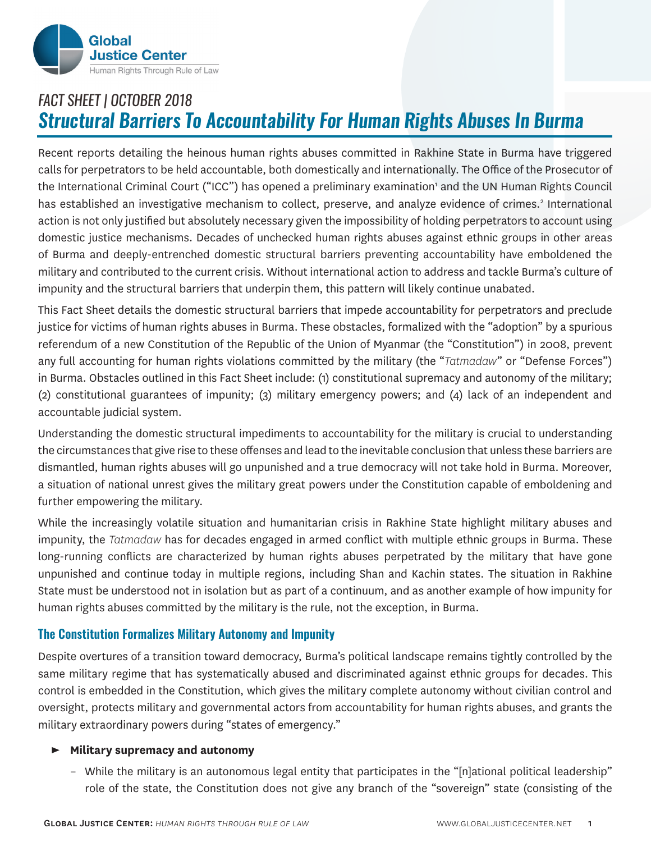

# *FACT SHEET | OCTOBER 2018 Structural Barriers To Accountability For Human Rights Abuses In Burma*

Recent reports detailing the heinous human rights abuses committed in Rakhine State in Burma have triggered calls for perpetrators to be held accountable, both domestically and internationally. The Office of the Prosecutor of the International Criminal Court ("ICC") has opened a preliminary examination' and the UN Human Rights Council has established an investigative mechanism to collect, preserve, and analyze evidence of crimes.<sup>2</sup> International action is not only justified but absolutely necessary given the impossibility of holding perpetrators to account using domestic justice mechanisms. Decades of unchecked human rights abuses against ethnic groups in other areas of Burma and deeply-entrenched domestic structural barriers preventing accountability have emboldened the military and contributed to the current crisis. Without international action to address and tackle Burma's culture of impunity and the structural barriers that underpin them, this pattern will likely continue unabated.

This Fact Sheet details the domestic structural barriers that impede accountability for perpetrators and preclude justice for victims of human rights abuses in Burma. These obstacles, formalized with the "adoption" by a spurious referendum of a new Constitution of the Republic of the Union of Myanmar (the "Constitution") in 2008, prevent any full accounting for human rights violations committed by the military (the "*Tatmadaw*" or "Defense Forces") in Burma. Obstacles outlined in this Fact Sheet include: (1) constitutional supremacy and autonomy of the military; (2) constitutional guarantees of impunity; (3) military emergency powers; and (4) lack of an independent and accountable judicial system.

Understanding the domestic structural impediments to accountability for the military is crucial to understanding the circumstances that give rise to these offenses and lead to the inevitable conclusion that unless these barriers are dismantled, human rights abuses will go unpunished and a true democracy will not take hold in Burma. Moreover, a situation of national unrest gives the military great powers under the Constitution capable of emboldening and further empowering the military.

While the increasingly volatile situation and humanitarian crisis in Rakhine State highlight military abuses and impunity, the *Tatmadaw* has for decades engaged in armed conflict with multiple ethnic groups in Burma. These long-running conflicts are characterized by human rights abuses perpetrated by the military that have gone unpunished and continue today in multiple regions, including Shan and Kachin states. The situation in Rakhine State must be understood not in isolation but as part of a continuum, and as another example of how impunity for human rights abuses committed by the military is the rule, not the exception, in Burma.

# **The Constitution Formalizes Military Autonomy and Impunity**

Despite overtures of a transition toward democracy, Burma's political landscape remains tightly controlled by the same military regime that has systematically abused and discriminated against ethnic groups for decades. This control is embedded in the Constitution, which gives the military complete autonomy without civilian control and oversight, protects military and governmental actors from accountability for human rights abuses, and grants the military extraordinary powers during "states of emergency."

#### ► **Military supremacy and autonomy**

– While the military is an autonomous legal entity that participates in the "[n]ational political leadership" role of the state, the Constitution does not give any branch of the "sovereign" state (consisting of the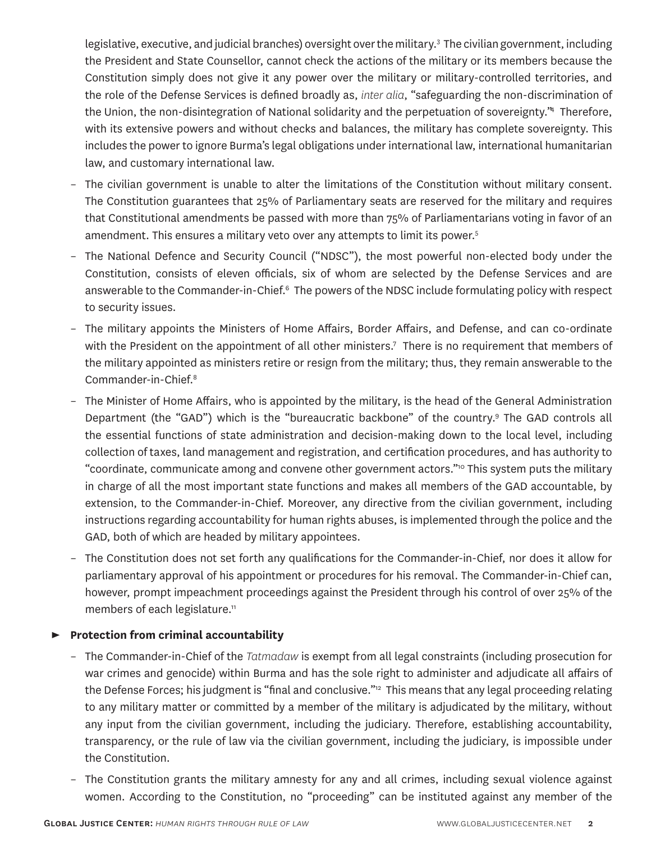legislative, executive, and judicial branches) oversight over the military.<sup>3</sup> The civilian government, including the President and State Counsellor, cannot check the actions of the military or its members because the Constitution simply does not give it any power over the military or military-controlled territories, and the role of the Defense Services is defined broadly as, *inter alia*, "safeguarding the non-discrimination of the Union, the non-disintegration of National solidarity and the perpetuation of sovereignty."<sup>4</sup> Therefore, with its extensive powers and without checks and balances, the military has complete sovereignty. This includes the power to ignore Burma's legal obligations under international law, international humanitarian law, and customary international law.

- The civilian government is unable to alter the limitations of the Constitution without military consent. The Constitution guarantees that 25% of Parliamentary seats are reserved for the military and requires that Constitutional amendments be passed with more than 75% of Parliamentarians voting in favor of an amendment. This ensures a military veto over any attempts to limit its power.<sup>5</sup>
- The National Defence and Security Council ("NDSC"), the most powerful non-elected body under the Constitution, consists of eleven officials, six of whom are selected by the Defense Services and are answerable to the Commander-in-Chief.<sup>6</sup> The powers of the NDSC include formulating policy with respect to security issues.
- The military appoints the Ministers of Home Affairs, Border Affairs, and Defense, and can co-ordinate with the President on the appointment of all other ministers.7 There is no requirement that members of the military appointed as ministers retire or resign from the military; thus, they remain answerable to the Commander-in-Chief.8
- The Minister of Home Affairs, who is appointed by the military, is the head of the General Administration Department (the "GAD") which is the "bureaucratic backbone" of the country.<sup>9</sup> The GAD controls all the essential functions of state administration and decision-making down to the local level, including collection of taxes, land management and registration, and certification procedures, and has authority to "coordinate, communicate among and convene other government actors."<sup>10</sup> This system puts the military in charge of all the most important state functions and makes all members of the GAD accountable, by extension, to the Commander-in-Chief. Moreover, any directive from the civilian government, including instructions regarding accountability for human rights abuses, is implemented through the police and the GAD, both of which are headed by military appointees.
- The Constitution does not set forth any qualifications for the Commander-in-Chief, nor does it allow for parliamentary approval of his appointment or procedures for his removal. The Commander-in-Chief can, however, prompt impeachment proceedings against the President through his control of over 25% of the members of each legislature.<sup>11</sup>

# ► **Protection from criminal accountability**

- The Commander-in-Chief of the *Tatmadaw* is exempt from all legal constraints (including prosecution for war crimes and genocide) within Burma and has the sole right to administer and adjudicate all affairs of the Defense Forces; his judgment is "final and conclusive."<sup>12</sup> This means that any legal proceeding relating to any military matter or committed by a member of the military is adjudicated by the military, without any input from the civilian government, including the judiciary. Therefore, establishing accountability, transparency, or the rule of law via the civilian government, including the judiciary, is impossible under the Constitution.
- The Constitution grants the military amnesty for any and all crimes, including sexual violence against women. According to the Constitution, no "proceeding" can be instituted against any member of the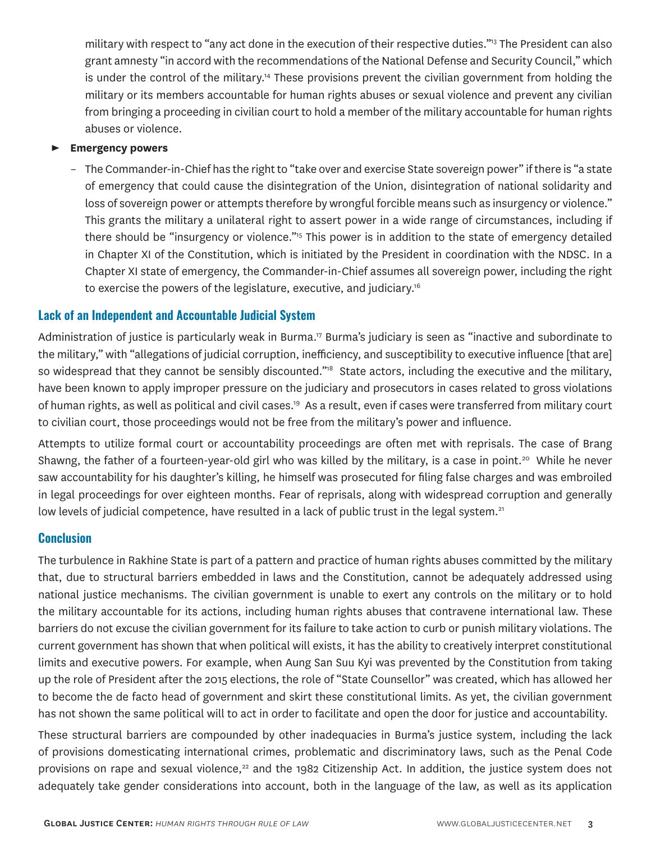military with respect to "any act done in the execution of their respective duties."13 The President can also grant amnesty "in accord with the recommendations of the National Defense and Security Council," which is under the control of the military.<sup>14</sup> These provisions prevent the civilian government from holding the military or its members accountable for human rights abuses or sexual violence and prevent any civilian from bringing a proceeding in civilian court to hold a member of the military accountable for human rights abuses or violence.

#### ► **Emergency powers**

– The Commander-in-Chief has the right to "take over and exercise State sovereign power" if there is "a state of emergency that could cause the disintegration of the Union, disintegration of national solidarity and loss of sovereign power or attempts therefore by wrongful forcible means such as insurgency or violence." This grants the military a unilateral right to assert power in a wide range of circumstances, including if there should be "insurgency or violence."15 This power is in addition to the state of emergency detailed in Chapter XI of the Constitution, which is initiated by the President in coordination with the NDSC. In a Chapter XI state of emergency, the Commander-in-Chief assumes all sovereign power, including the right to exercise the powers of the legislature, executive, and judiciary.16

## **Lack of an Independent and Accountable Judicial System**

Administration of justice is particularly weak in Burma.<sup>17</sup> Burma's judiciary is seen as "inactive and subordinate to the military," with "allegations of judicial corruption, inefficiency, and susceptibility to executive influence [that are] so widespread that they cannot be sensibly discounted."<sup>18</sup> State actors, including the executive and the military, have been known to apply improper pressure on the judiciary and prosecutors in cases related to gross violations of human rights, as well as political and civil cases.<sup>19</sup> As a result, even if cases were transferred from military court to civilian court, those proceedings would not be free from the military's power and influence.

Attempts to utilize formal court or accountability proceedings are often met with reprisals. The case of Brang Shawng, the father of a fourteen-year-old girl who was killed by the military, is a case in point.<sup>20</sup> While he never saw accountability for his daughter's killing, he himself was prosecuted for filing false charges and was embroiled in legal proceedings for over eighteen months. Fear of reprisals, along with widespread corruption and generally low levels of judicial competence, have resulted in a lack of public trust in the legal system.<sup>21</sup>

#### **Conclusion**

The turbulence in Rakhine State is part of a pattern and practice of human rights abuses committed by the military that, due to structural barriers embedded in laws and the Constitution, cannot be adequately addressed using national justice mechanisms. The civilian government is unable to exert any controls on the military or to hold the military accountable for its actions, including human rights abuses that contravene international law. These barriers do not excuse the civilian government for its failure to take action to curb or punish military violations. The current government has shown that when political will exists, it has the ability to creatively interpret constitutional limits and executive powers. For example, when Aung San Suu Kyi was prevented by the Constitution from taking up the role of President after the 2015 elections, the role of "State Counsellor" was created, which has allowed her to become the de facto head of government and skirt these constitutional limits. As yet, the civilian government has not shown the same political will to act in order to facilitate and open the door for justice and accountability.

These structural barriers are compounded by other inadequacies in Burma's justice system, including the lack of provisions domesticating international crimes, problematic and discriminatory laws, such as the Penal Code provisions on rape and sexual violence,<sup>22</sup> and the 1982 Citizenship Act. In addition, the justice system does not adequately take gender considerations into account, both in the language of the law, as well as its application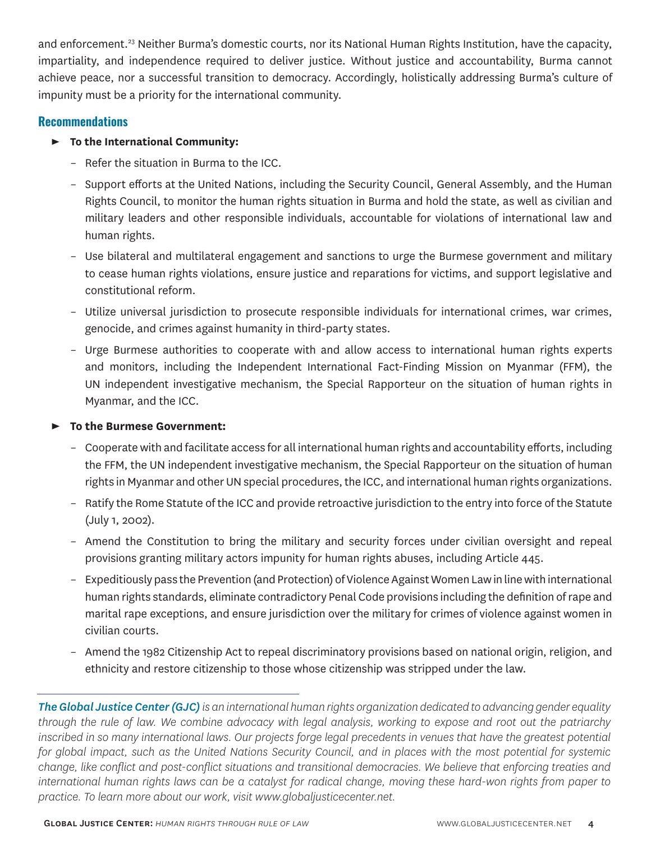and enforcement.<sup>23</sup> Neither Burma's domestic courts, nor its National Human Rights Institution, have the capacity, impartiality, and independence required to deliver justice. Without justice and accountability, Burma cannot achieve peace, nor a successful transition to democracy. Accordingly, holistically addressing Burma's culture of impunity must be a priority for the international community.

# **Recommendations**

## ► **To the International Community:**

- Refer the situation in Burma to the ICC.
- Support efforts at the United Nations, including the Security Council, General Assembly, and the Human Rights Council, to monitor the human rights situation in Burma and hold the state, as well as civilian and military leaders and other responsible individuals, accountable for violations of international law and human rights.
- Use bilateral and multilateral engagement and sanctions to urge the Burmese government and military to cease human rights violations, ensure justice and reparations for victims, and support legislative and constitutional reform.
- Utilize universal jurisdiction to prosecute responsible individuals for international crimes, war crimes, genocide, and crimes against humanity in third-party states.
- Urge Burmese authorities to cooperate with and allow access to international human rights experts and monitors, including the Independent International Fact-Finding Mission on Myanmar (FFM), the UN independent investigative mechanism, the Special Rapporteur on the situation of human rights in Myanmar, and the ICC.

## ► **To the Burmese Government:**

- Cooperate with and facilitate access for all international human rights and accountability efforts, including the FFM, the UN independent investigative mechanism, the Special Rapporteur on the situation of human rights in Myanmar and other UN special procedures, the ICC, and international human rights organizations.
- Ratify the Rome Statute of the ICC and provide retroactive jurisdiction to the entry into force of the Statute (July 1, 2002).
- Amend the Constitution to bring the military and security forces under civilian oversight and repeal provisions granting military actors impunity for human rights abuses, including Article 445.
- Expeditiously pass the Prevention (and Protection) of Violence Against Women Law in line with international human rights standards, eliminate contradictory Penal Code provisions including the definition of rape and marital rape exceptions, and ensure jurisdiction over the military for crimes of violence against women in civilian courts.
- Amend the 1982 Citizenship Act to repeal discriminatory provisions based on national origin, religion, and ethnicity and restore citizenship to those whose citizenship was stripped under the law.

*The Global Justice Center (GJC)is an international human rights organization dedicated to advancing gender equality through the rule of law. We combine advocacy with legal analysis, working to expose and root out the patriarchy inscribed in so many international laws. Our projects forge legal precedents in venues that have the greatest potential for global impact, such as the United Nations Security Council, and in places with the most potential for systemic change, like conflict and post-conflict situations and transitional democracies. We believe that enforcing treaties and international human rights laws can be a catalyst for radical change, moving these hard-won rights from paper to practice. To learn more about our work, visit www.globaljusticecenter.net.*